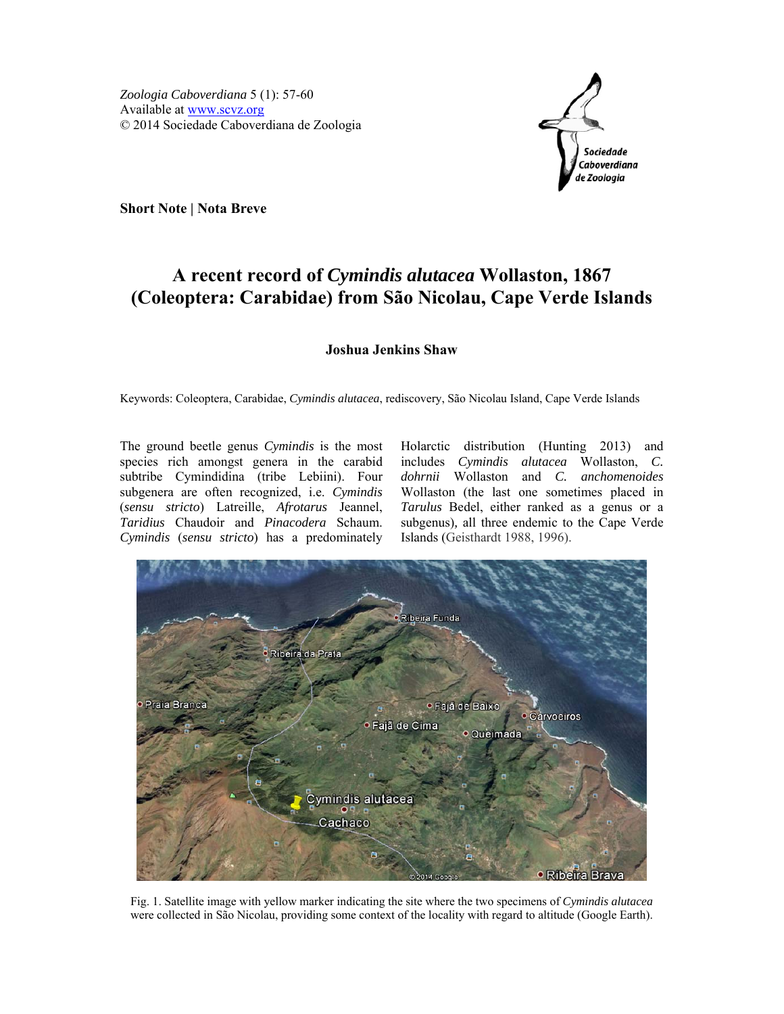

**Short Note | Nota Breve** 

## **A recent record of** *Cymindis alutacea* **Wollaston, 1867 (Coleoptera: Carabidae) from São Nicolau, Cape Verde Islands**

## **Joshua Jenkins Shaw**

Keywords: Coleoptera, Carabidae, *Cymindis alutacea*, rediscovery, São Nicolau Island, Cape Verde Islands

The ground beetle genus *Cymindis* is the most species rich amongst genera in the carabid subtribe Cymindidina (tribe Lebiini). Four subgenera are often recognized, i.e. *Cymindis* (*sensu stricto*) Latreille, *Afrotarus* Jeannel, *Taridius* Chaudoir and *Pinacodera* Schaum. *Cymindis* (*sensu stricto*) has a predominately

Holarctic distribution (Hunting 2013) and includes *Cymindis alutacea* Wollaston, *C. dohrnii* Wollaston and *C. anchomenoides*  Wollaston (the last one sometimes placed in *Tarulus* Bedel, either ranked as a genus or a subgenus)*,* all three endemic to the Cape Verde Islands (Geisthardt 1988, 1996).



Fig. 1. Satellite image with yellow marker indicating the site where the two specimens of *Cymindis alutacea* were collected in São Nicolau, providing some context of the locality with regard to altitude (Google Earth).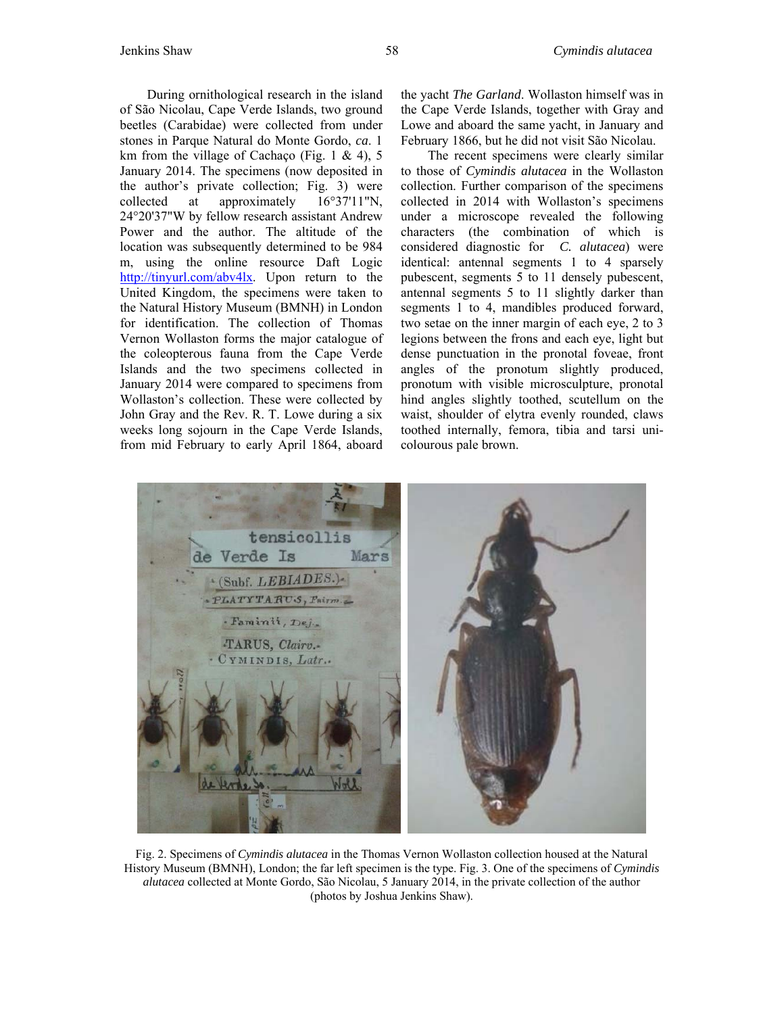During ornithological research in the island of São Nicolau, Cape Verde Islands, two ground beetles (Carabidae) were collected from under stones in Parque Natural do Monte Gordo, *ca*. 1 km from the village of Cachaço (Fig. 1  $& 4$ ), 5 January 2014. The specimens (now deposited in the author's private collection; Fig. 3) were collected at approximately 16°37'11"N, 24°20'37"W by fellow research assistant Andrew Power and the author. The altitude of the location was subsequently determined to be 984 m, using the online resource Daft Logic http://tinyurl.com/abv4lx. Upon return to the United Kingdom, the specimens were taken to the Natural History Museum (BMNH) in London for identification. The collection of Thomas Vernon Wollaston forms the major catalogue of the coleopterous fauna from the Cape Verde Islands and the two specimens collected in January 2014 were compared to specimens from Wollaston's collection. These were collected by John Gray and the Rev. R. T. Lowe during a six weeks long sojourn in the Cape Verde Islands, from mid February to early April 1864, aboard

the yacht *The Garland*. Wollaston himself was in the Cape Verde Islands, together with Gray and Lowe and aboard the same yacht, in January and February 1866, but he did not visit São Nicolau.

The recent specimens were clearly similar to those of *Cymindis alutacea* in the Wollaston collection. Further comparison of the specimens collected in 2014 with Wollaston's specimens under a microscope revealed the following characters (the combination of which is considered diagnostic for *C. alutacea*) were identical: antennal segments 1 to 4 sparsely pubescent, segments 5 to 11 densely pubescent, antennal segments 5 to 11 slightly darker than segments 1 to 4, mandibles produced forward, two setae on the inner margin of each eye, 2 to 3 legions between the frons and each eye, light but dense punctuation in the pronotal foveae, front angles of the pronotum slightly produced, pronotum with visible microsculpture, pronotal hind angles slightly toothed, scutellum on the waist, shoulder of elytra evenly rounded, claws toothed internally, femora, tibia and tarsi unicolourous pale brown.



Fig. 2. Specimens of *Cymindis alutacea* in the Thomas Vernon Wollaston collection housed at the Natural History Museum (BMNH), London; the far left specimen is the type. Fig. 3. One of the specimens of *Cymindis alutacea* collected at Monte Gordo, São Nicolau, 5 January 2014, in the private collection of the author (photos by Joshua Jenkins Shaw).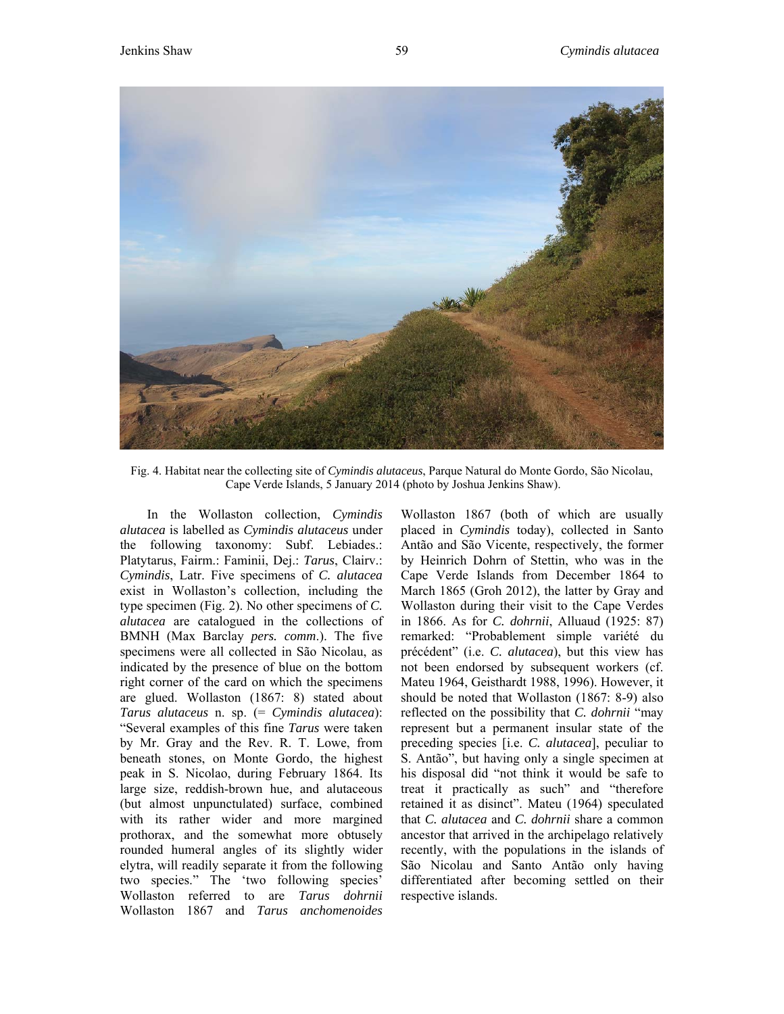

Fig. 4. Habitat near the collecting site of *Cymindis alutaceus*, Parque Natural do Monte Gordo, São Nicolau, Cape Verde Islands, 5 January 2014 (photo by Joshua Jenkins Shaw).

In the Wollaston collection, *Cymindis alutacea* is labelled as *Cymindis alutaceus* under the following taxonomy: Subf. Lebiades.: Platytarus, Fairm.: Faminii, Dej.: *Tarus*, Clairv.: *Cymindis*, Latr. Five specimens of *C. alutacea* exist in Wollaston's collection, including the type specimen (Fig. 2). No other specimens of *C. alutacea* are catalogued in the collections of BMNH (Max Barclay *pers. comm*.). The five specimens were all collected in São Nicolau, as indicated by the presence of blue on the bottom right corner of the card on which the specimens are glued. Wollaston (1867: 8) stated about *Tarus alutaceus* n. sp. (= *Cymindis alutacea*): "Several examples of this fine *Tarus* were taken by Mr. Gray and the Rev. R. T. Lowe, from beneath stones, on Monte Gordo, the highest peak in S. Nicolao, during February 1864. Its large size, reddish-brown hue, and alutaceous (but almost unpunctulated) surface, combined with its rather wider and more margined prothorax, and the somewhat more obtusely rounded humeral angles of its slightly wider elytra, will readily separate it from the following two species." The 'two following species' Wollaston referred to are *Tarus dohrnii* Wollaston 1867 and *Tarus anchomenoides* Wollaston 1867 (both of which are usually placed in *Cymindis* today), collected in Santo Antão and São Vicente, respectively, the former by Heinrich Dohrn of Stettin, who was in the Cape Verde Islands from December 1864 to March 1865 (Groh 2012), the latter by Gray and Wollaston during their visit to the Cape Verdes in 1866. As for *C. dohrnii*, Alluaud (1925: 87) remarked: "Probablement simple variété du précédent" (i.e. *C. alutacea*), but this view has not been endorsed by subsequent workers (cf. Mateu 1964, Geisthardt 1988, 1996). However, it should be noted that Wollaston (1867: 8-9) also reflected on the possibility that *C. dohrnii* "may represent but a permanent insular state of the preceding species [i.e. *C. alutacea*], peculiar to S. Antão", but having only a single specimen at his disposal did "not think it would be safe to treat it practically as such" and "therefore retained it as disinct". Mateu (1964) speculated that *C. alutacea* and *C. dohrnii* share a common ancestor that arrived in the archipelago relatively recently, with the populations in the islands of São Nicolau and Santo Antão only having differentiated after becoming settled on their respective islands.